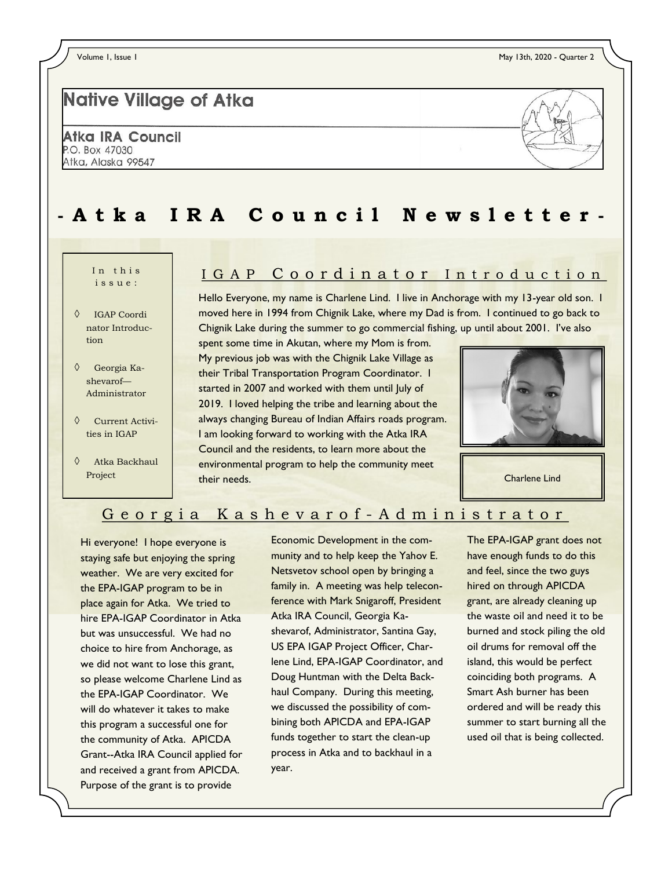# **Native Village of Atka**

Atka IRA Council P.O. Box 47030 Atka, Alaska 99547



# **- A t k a I R A C o u n c i l N e w s l e t t e r -**

## $i$  s s  $n e$ .

- IGAP Coordi nator Introduction
- Georgia Kashevarof— Administrator
- Current Activities in IGAP
- Atka Backhaul Project

## In this | IGAP Coordinator Introduction

Hello Everyone, my name is Charlene Lind. I live in Anchorage with my 13-year old son. I moved here in 1994 from Chignik Lake, where my Dad is from. I continued to go back to Chignik Lake during the summer to go commercial fishing, up until about 2001. I've also

spent some time in Akutan, where my Mom is from. My previous job was with the Chignik Lake Village as their Tribal Transportation Program Coordinator. I started in 2007 and worked with them until July of 2019. I loved helping the tribe and learning about the always changing Bureau of Indian Affairs roads program. I am looking forward to working with the Atka IRA Council and the residents, to learn more about the environmental program to help the community meet their needs.



Charlene Lind

### Georgia Kashevarof-Administrator

Hi everyone! I hope everyone is staying safe but enjoying the spring weather. We are very excited for the EPA-IGAP program to be in place again for Atka. We tried to hire EPA-IGAP Coordinator in Atka but was unsuccessful. We had no choice to hire from Anchorage, as we did not want to lose this grant, so please welcome Charlene Lind as the EPA-IGAP Coordinator. We will do whatever it takes to make this program a successful one for the community of Atka. APICDA Grant--Atka IRA Council applied for and received a grant from APICDA. Purpose of the grant is to provide

Economic Development in the community and to help keep the Yahov E. Netsvetov school open by bringing a family in. A meeting was help teleconference with Mark Snigaroff, President Atka IRA Council, Georgia Kashevarof, Administrator, Santina Gay, US EPA IGAP Project Officer, Charlene Lind, EPA-IGAP Coordinator, and Doug Huntman with the Delta Backhaul Company. During this meeting, we discussed the possibility of combining both APICDA and EPA-IGAP funds together to start the clean-up process in Atka and to backhaul in a year.

The EPA-IGAP grant does not have enough funds to do this and feel, since the two guys hired on through APICDA grant, are already cleaning up the waste oil and need it to be burned and stock piling the old oil drums for removal off the island, this would be perfect coinciding both programs. A Smart Ash burner has been ordered and will be ready this summer to start burning all the used oil that is being collected.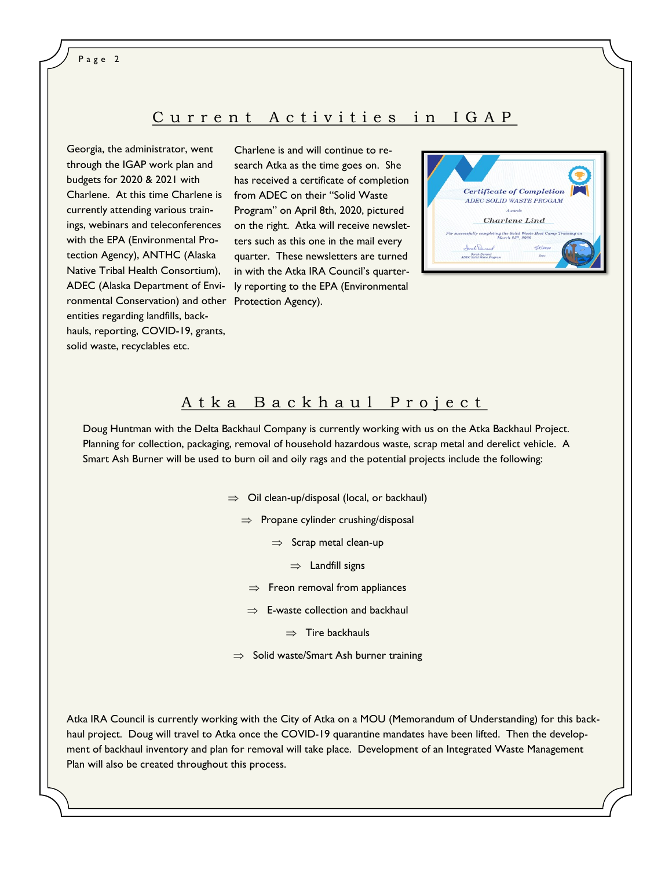Page 2

#### Current Activities in IGAP

Georgia, the administrator, went through the IGAP work plan and budgets for 2020 & 2021 with Charlene. At this time Charlene is from ADEC on their "Solid Waste currently attending various trainings, webinars and teleconferences with the EPA (Environmental Protection Agency), ANTHC (Alaska Native Tribal Health Consortium), ADEC (Alaska Department of Environmental Conservation) and other Protection Agency). entities regarding landfills, backhauls, reporting, COVID-19, grants, solid waste, recyclables etc.

Charlene is and will continue to research Atka as the time goes on. She has received a certificate of completion Program" on April 8th, 2020, pictured on the right. Atka will receive newsletters such as this one in the mail every quarter. These newsletters are turned in with the Atka IRA Council's quarterly reporting to the EPA (Environmental



#### A t k a B a c k h a u l P r o j e c t

Doug Huntman with the Delta Backhaul Company is currently working with us on the Atka Backhaul Project. Planning for collection, packaging, removal of household hazardous waste, scrap metal and derelict vehicle. A Smart Ash Burner will be used to burn oil and oily rags and the potential projects include the following:

- $\Rightarrow$  Oil clean-up/disposal (local, or backhaul)
	- $\Rightarrow$  Propane cylinder crushing/disposal
		- $\Rightarrow$  Scrap metal clean-up
			- $\Rightarrow$  Landfill signs
		- $\Rightarrow$  Freon removal from appliances
	- $\Rightarrow$  E-waste collection and backhaul
		- $\Rightarrow$  Tire backhauls
- $\Rightarrow$  Solid waste/Smart Ash burner training

Atka IRA Council is currently working with the City of Atka on a MOU (Memorandum of Understanding) for this backhaul project. Doug will travel to Atka once the COVID-19 quarantine mandates have been lifted. Then the development of backhaul inventory and plan for removal will take place. Development of an Integrated Waste Management Plan will also be created throughout this process.